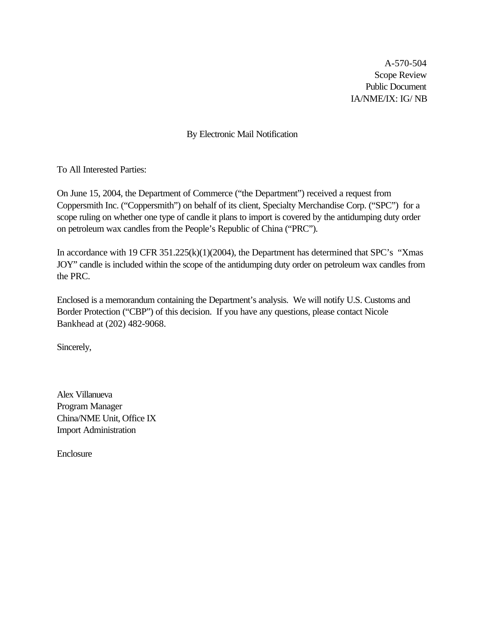A-570-504 Scope Review Public Document IA/NME/IX: IG/ NB

By Electronic Mail Notification

To All Interested Parties:

On June 15, 2004, the Department of Commerce ("the Department") received a request from Coppersmith Inc. ("Coppersmith") on behalf of its client, Specialty Merchandise Corp. ("SPC") for a scope ruling on whether one type of candle it plans to import is covered by the antidumping duty order on petroleum wax candles from the People's Republic of China ("PRC").

In accordance with 19 CFR 351.225(k)(1)(2004), the Department has determined that SPC's "Xmas" JOY" candle is included within the scope of the antidumping duty order on petroleum wax candles from the PRC.

Enclosed is a memorandum containing the Department's analysis. We will notify U.S. Customs and Border Protection ("CBP") of this decision. If you have any questions, please contact Nicole Bankhead at (202) 482-9068.

Sincerely,

Alex Villanueva Program Manager China/NME Unit, Office IX Import Administration

Enclosure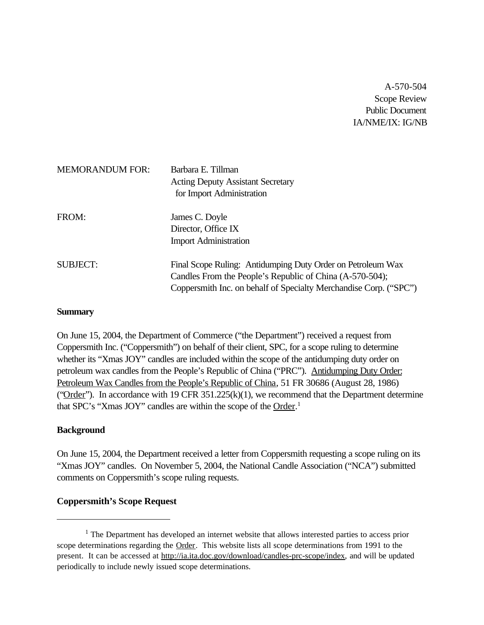A-570-504 Scope Review Public Document IA/NME/IX: IG/NB

| <b>MEMORANDUM FOR:</b> | Barbara E. Tillman<br><b>Acting Deputy Assistant Secretary</b><br>for Import Administration                                                                                                  |
|------------------------|----------------------------------------------------------------------------------------------------------------------------------------------------------------------------------------------|
| FROM:                  | James C. Doyle<br>Director, Office IX<br><b>Import Administration</b>                                                                                                                        |
| <b>SUBJECT:</b>        | Final Scope Ruling: Antidumping Duty Order on Petroleum Wax<br>Candles From the People's Republic of China (A-570-504);<br>Coppersmith Inc. on behalf of Specialty Merchandise Corp. ("SPC") |

#### **Summary**

On June 15, 2004, the Department of Commerce ("the Department") received a request from Coppersmith Inc. ("Coppersmith") on behalf of their client, SPC, for a scope ruling to determine whether its "Xmas JOY" candles are included within the scope of the antidumping duty order on petroleum wax candles from the People's Republic of China ("PRC"). Antidumping Duty Order: Petroleum Wax Candles from the People's Republic of China, 51 FR 30686 (August 28, 1986) (" $Order$ "). In accordance with 19 CFR 351.225(k)(1), we recommend that the Department determine that SPC's "Xmas JOY" candles are within the scope of the Order.<sup>1</sup>

## **Background**

On June 15, 2004, the Department received a letter from Coppersmith requesting a scope ruling on its "Xmas JOY" candles. On November 5, 2004, the National Candle Association ("NCA") submitted comments on Coppersmith's scope ruling requests.

#### **Coppersmith's Scope Request**

 $<sup>1</sup>$  The Department has developed an internet website that allows interested parties to access prior</sup> scope determinations regarding the Order. This website lists all scope determinations from 1991 to the present. It can be accessed at http://ia.ita.doc.gov/download/candles-prc-scope/index, and will be updated periodically to include newly issued scope determinations.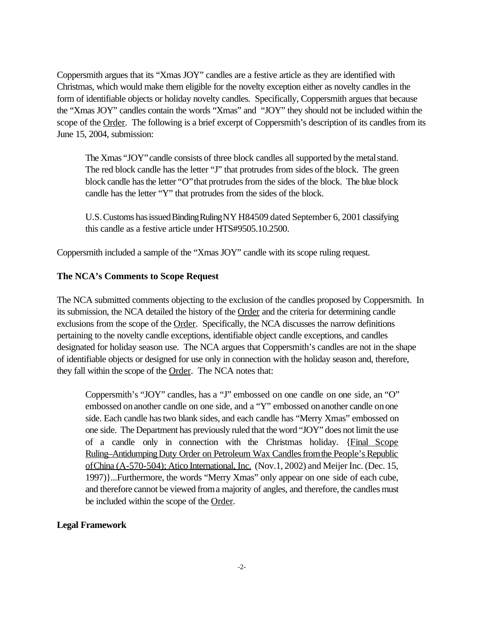Coppersmith argues that its "Xmas JOY" candles are a festive article as they are identified with Christmas, which would make them eligible for the novelty exception either as novelty candles in the form of identifiable objects or holiday novelty candles. Specifically, Coppersmith argues that because the "Xmas JOY" candles contain the words "Xmas" and "JOY" they should not be included within the scope of the Order. The following is a brief excerpt of Coppersmith's description of its candles from its June 15, 2004, submission:

The Xmas "JOY" candle consists of three block candles all supported by the metal stand. The red block candle has the letter "J" that protrudes from sides of the block. The green block candle has the letter "O" that protrudes from the sides of the block. The blue block candle has the letter "Y" that protrudes from the sides of the block.

U.S. Customs has issued Binding Ruling NY H84509 dated September 6, 2001 classifying this candle as a festive article under HTS#9505.10.2500.

Coppersmith included a sample of the "Xmas JOY" candle with its scope ruling request.

### **The NCA's Comments to Scope Request**

The NCA submitted comments objecting to the exclusion of the candles proposed by Coppersmith. In its submission, the NCA detailed the history of the Order and the criteria for determining candle exclusions from the scope of the Order. Specifically, the NCA discusses the narrow definitions pertaining to the novelty candle exceptions, identifiable object candle exceptions, and candles designated for holiday season use. The NCA argues that Coppersmith's candles are not in the shape of identifiable objects or designed for use only in connection with the holiday season and, therefore, they fall within the scope of the Order. The NCA notes that:

Coppersmith's "JOY" candles, has a "J" embossed on one candle on one side, an "O" embossed on another candle on one side, and a "Y" embossed on another candle on one side. Each candle hastwo blank sides, and each candle has "Merry Xmas" embossed on one side. The Department has previously ruled that the word "JOY" does not limit the use of a candle only in connection with the Christmas holiday. {Final Scope Ruling–Antidumping Duty Order on Petroleum Wax Candles from the People's Republic ofChina (A-570-504); Atico International, Inc. (Nov.1, 2002) and Meijer Inc. (Dec. 15, 1997)}...Furthermore, the words "Merry Xmas" only appear on one side of each cube, and therefore cannot be viewed froma majority of angles, and therefore, the candles must be included within the scope of the Order.

#### **Legal Framework**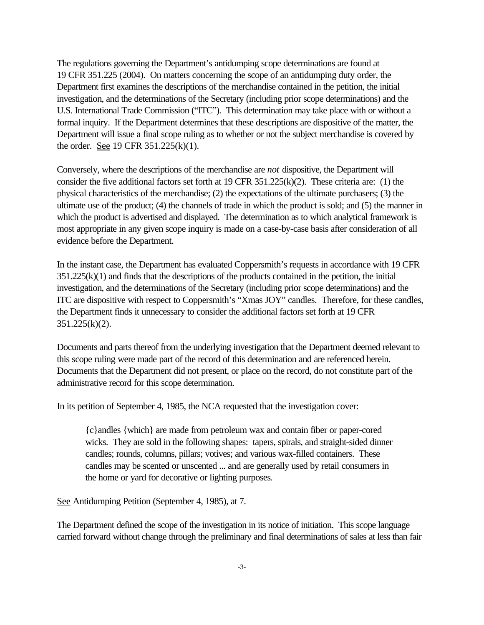The regulations governing the Department's antidumping scope determinations are found at 19 CFR 351.225 (2004). On matters concerning the scope of an antidumping duty order, the Department first examines the descriptions of the merchandise contained in the petition, the initial investigation, and the determinations of the Secretary (including prior scope determinations) and the U.S. International Trade Commission ("ITC"). This determination may take place with or without a formal inquiry. If the Department determines that these descriptions are dispositive of the matter, the Department will issue a final scope ruling as to whether or not the subject merchandise is covered by the order. See 19 CFR 351.225(k)(1).

Conversely, where the descriptions of the merchandise are *not* dispositive, the Department will consider the five additional factors set forth at 19 CFR 351.225(k)(2). These criteria are: (1) the physical characteristics of the merchandise; (2) the expectations of the ultimate purchasers; (3) the ultimate use of the product; (4) the channels of trade in which the product is sold; and (5) the manner in which the product is advertised and displayed. The determination as to which analytical framework is most appropriate in any given scope inquiry is made on a case-by-case basis after consideration of all evidence before the Department.

In the instant case, the Department has evaluated Coppersmith's requests in accordance with 19 CFR  $351.225(k)(1)$  and finds that the descriptions of the products contained in the petition, the initial investigation, and the determinations of the Secretary (including prior scope determinations) and the ITC are dispositive with respect to Coppersmith's "Xmas JOY" candles. Therefore, for these candles, the Department finds it unnecessary to consider the additional factors set forth at 19 CFR 351.225(k)(2).

Documents and parts thereof from the underlying investigation that the Department deemed relevant to this scope ruling were made part of the record of this determination and are referenced herein. Documents that the Department did not present, or place on the record, do not constitute part of the administrative record for this scope determination.

In its petition of September 4, 1985, the NCA requested that the investigation cover:

{c}andles {which} are made from petroleum wax and contain fiber or paper-cored wicks. They are sold in the following shapes: tapers, spirals, and straight-sided dinner candles; rounds, columns, pillars; votives; and various wax-filled containers. These candles may be scented or unscented ... and are generally used by retail consumers in the home or yard for decorative or lighting purposes.

See Antidumping Petition (September 4, 1985), at 7.

The Department defined the scope of the investigation in its notice of initiation. This scope language carried forward without change through the preliminary and final determinations of sales at less than fair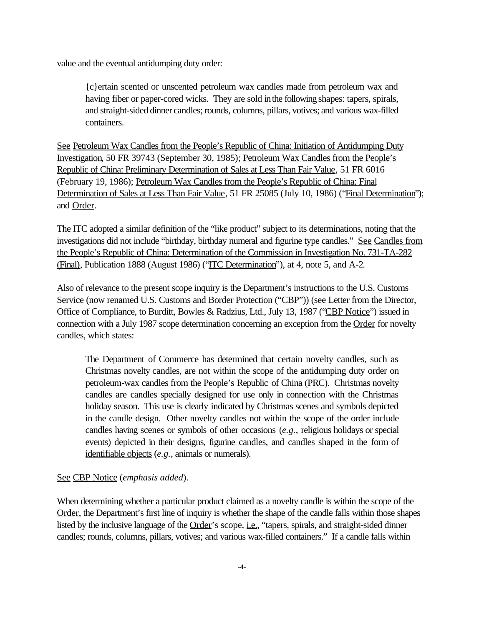value and the eventual antidumping duty order:

{c}ertain scented or unscented petroleum wax candles made from petroleum wax and having fiber or paper-cored wicks. They are sold inthe following shapes: tapers, spirals, and straight-sided dinner candles; rounds, columns, pillars, votives; and various wax-filled containers.

See Petroleum Wax Candles from the People's Republic of China: Initiation of Antidumping Duty Investigation, 50 FR 39743 (September 30, 1985); Petroleum Wax Candles from the People's Republic of China: Preliminary Determination of Sales at Less Than Fair Value, 51 FR 6016 (February 19, 1986); Petroleum Wax Candles from the People's Republic of China: Final Determination of Sales at Less Than Fair Value, 51 FR 25085 (July 10, 1986) ("Final Determination"); and Order.

The ITC adopted a similar definition of the "like product" subject to its determinations, noting that the investigations did not include "birthday, birthday numeral and figurine type candles." See Candles from the People's Republic of China: Determination of the Commission in Investigation No. 731-TA-282 (Final), Publication 1888 (August 1986) ("ITC Determination"), at 4, note 5, and A-2.

Also of relevance to the present scope inquiry is the Department's instructions to the U.S. Customs Service (now renamed U.S. Customs and Border Protection ("CBP")) (see Letter from the Director, Office of Compliance, to Burditt, Bowles & Radzius, Ltd., July 13, 1987 ("CBP Notice") issued in connection with a July 1987 scope determination concerning an exception from the Order for novelty candles, which states:

The Department of Commerce has determined that certain novelty candles, such as Christmas novelty candles, are not within the scope of the antidumping duty order on petroleum-wax candles from the People's Republic of China (PRC). Christmas novelty candles are candles specially designed for use only in connection with the Christmas holiday season. This use is clearly indicated by Christmas scenes and symbols depicted in the candle design. Other novelty candles not within the scope of the order include candles having scenes or symbols of other occasions (*e.g.*, religious holidays or special events) depicted in their designs, figurine candles, and candles shaped in the form of identifiable objects (*e.g.*, animals or numerals).

# See CBP Notice (*emphasis added*).

When determining whether a particular product claimed as a novelty candle is within the scope of the Order, the Department's first line of inquiry is whether the shape of the candle falls within those shapes listed by the inclusive language of the Order's scope, *i.e.*, "tapers, spirals, and straight-sided dinner candles; rounds, columns, pillars, votives; and various wax-filled containers." If a candle falls within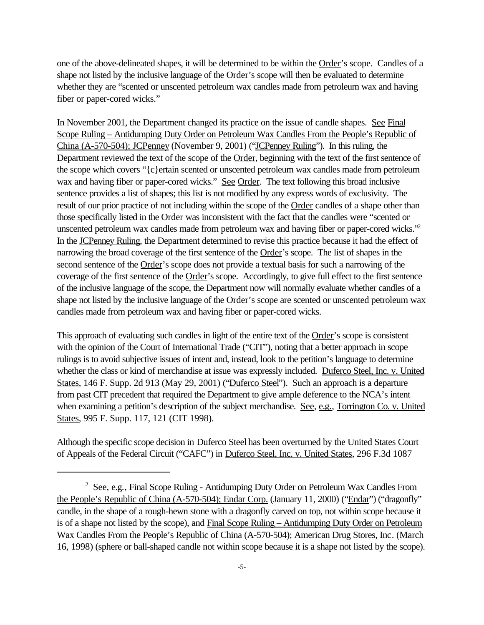one of the above-delineated shapes, it will be determined to be within the Order's scope. Candles of a shape not listed by the inclusive language of the Order's scope will then be evaluated to determine whether they are "scented or unscented petroleum wax candles made from petroleum wax and having fiber or paper-cored wicks."

In November 2001, the Department changed its practice on the issue of candle shapes. See Final Scope Ruling – Antidumping Duty Order on Petroleum Wax Candles From the People's Republic of China (A-570-504); JCPenney (November 9, 2001) ("JCPenney Ruling"). In this ruling, the Department reviewed the text of the scope of the Order, beginning with the text of the first sentence of the scope which covers "{c}ertain scented or unscented petroleum wax candles made from petroleum wax and having fiber or paper-cored wicks." See Order. The text following this broad inclusive sentence provides a list of shapes; this list is not modified by any express words of exclusivity. The result of our prior practice of not including within the scope of the Order candles of a shape other than those specifically listed in the Order was inconsistent with the fact that the candles were "scented or unscented petroleum wax candles made from petroleum wax and having fiber or paper-cored wicks."<sup>2</sup> In the JCPenney Ruling, the Department determined to revise this practice because it had the effect of narrowing the broad coverage of the first sentence of the Order's scope. The list of shapes in the second sentence of the Order's scope does not provide a textual basis for such a narrowing of the coverage of the first sentence of the Order's scope. Accordingly, to give full effect to the first sentence of the inclusive language of the scope, the Department now will normally evaluate whether candles of a shape not listed by the inclusive language of the Order's scope are scented or unscented petroleum wax candles made from petroleum wax and having fiber or paper-cored wicks.

This approach of evaluating such candles in light of the entire text of the Order's scope is consistent with the opinion of the Court of International Trade ("CIT"), noting that a better approach in scope rulings is to avoid subjective issues of intent and, instead, look to the petition's language to determine whether the class or kind of merchandise at issue was expressly included. Duferco Steel, Inc. v. United States, 146 F. Supp. 2d 913 (May 29, 2001) ("Duferco Steel"). Such an approach is a departure from past CIT precedent that required the Department to give ample deference to the NCA's intent when examining a petition's description of the subject merchandise. See, e.g., Torrington Co. v. United States, 995 F. Supp. 117, 121 (CIT 1998).

Although the specific scope decision in Duferco Steel has been overturned by the United States Court of Appeals of the Federal Circuit ("CAFC") in Duferco Steel, Inc. v. United States, 296 F.3d 1087

<sup>&</sup>lt;sup>2</sup> See, e.g., Final Scope Ruling - Antidumping Duty Order on Petroleum Wax Candles From the People's Republic of China (A-570-504); Endar Corp. (January 11, 2000) ("Endar") ("dragonfly" candle, in the shape of a rough-hewn stone with a dragonfly carved on top, not within scope because it is of a shape not listed by the scope), and Final Scope Ruling – Antidumping Duty Order on Petroleum Wax Candles From the People's Republic of China (A-570-504); American Drug Stores, Inc. (March 16, 1998) (sphere or ball-shaped candle not within scope because it is a shape not listed by the scope).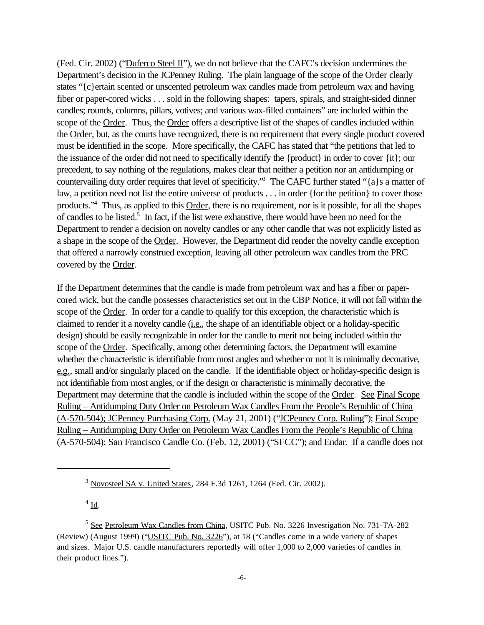(Fed. Cir. 2002) ("Duferco Steel II"), we do not believe that the CAFC's decision undermines the Department's decision in the JCPenney Ruling. The plain language of the scope of the Order clearly states "{c}ertain scented or unscented petroleum wax candles made from petroleum wax and having fiber or paper-cored wicks . . . sold in the following shapes: tapers, spirals, and straight-sided dinner candles; rounds, columns, pillars, votives; and various wax-filled containers" are included within the scope of the Order. Thus, the Order offers a descriptive list of the shapes of candles included within the Order, but, as the courts have recognized, there is no requirement that every single product covered must be identified in the scope. More specifically, the CAFC has stated that "the petitions that led to the issuance of the order did not need to specifically identify the {product} in order to cover {it}; our precedent, to say nothing of the regulations, makes clear that neither a petition nor an antidumping or countervailing duty order requires that level of specificity."<sup>3</sup> The CAFC further stated "{a}s a matter of law, a petition need not list the entire universe of products . . . in order {for the petition} to cover those products.<sup>"4</sup> Thus, as applied to this Order, there is no requirement, nor is it possible, for all the shapes of candles to be listed.<sup>5</sup> In fact, if the list were exhaustive, there would have been no need for the Department to render a decision on novelty candles or any other candle that was not explicitly listed as a shape in the scope of the Order. However, the Department did render the novelty candle exception that offered a narrowly construed exception, leaving all other petroleum wax candles from the PRC covered by the Order.

If the Department determines that the candle is made from petroleum wax and has a fiber or papercored wick, but the candle possesses characteristics set out in the CBP Notice, it will not fall within the scope of the Order. In order for a candle to qualify for this exception, the characteristic which is claimed to render it a novelty candle (i.e., the shape of an identifiable object or a holiday-specific design) should be easily recognizable in order for the candle to merit not being included within the scope of the Order. Specifically, among other determining factors, the Department will examine whether the characteristic is identifiable from most angles and whether or not it is minimally decorative, e.g., small and/or singularly placed on the candle. If the identifiable object or holiday-specific design is not identifiable from most angles, or if the design or characteristic is minimally decorative, the Department may determine that the candle is included within the scope of the Order. See Final Scope Ruling – Antidumping Duty Order on Petroleum Wax Candles From the People's Republic of China (A-570-504); JCPenney Purchasing Corp. (May 21, 2001) ("JCPenney Corp. Ruling"); Final Scope Ruling – Antidumping Duty Order on Petroleum Wax Candles From the People's Republic of China (A-570-504); San Francisco Candle Co. (Feb. 12, 2001) ("SFCC"); and Endar. If a candle does not

 $4 \underline{\text{Id}}$ .

<sup>3</sup> Novosteel SA v. United States, 284 F.3d 1261, 1264 (Fed. Cir. 2002).

<sup>&</sup>lt;sup>5</sup> See Petroleum Wax Candles from China, USITC Pub. No. 3226 Investigation No. 731-TA-282 (Review) (August 1999) ("USITC Pub. No. 3226"), at 18 ("Candles come in a wide variety of shapes and sizes. Major U.S. candle manufacturers reportedly will offer 1,000 to 2,000 varieties of candles in their product lines.").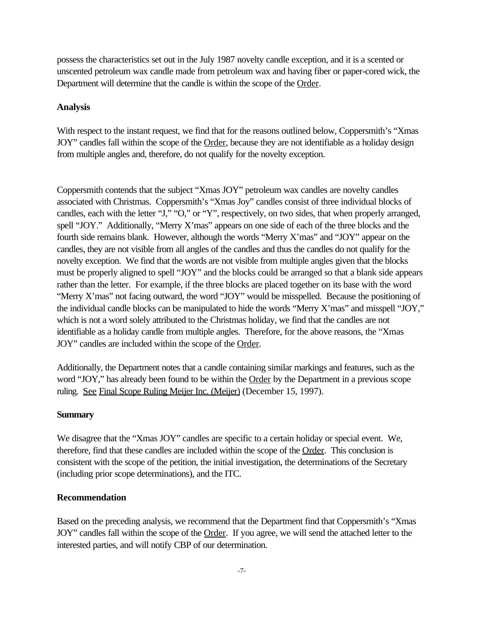possess the characteristics set out in the July 1987 novelty candle exception, and it is a scented or unscented petroleum wax candle made from petroleum wax and having fiber or paper-cored wick, the Department will determine that the candle is within the scope of the Order.

### **Analysis**

With respect to the instant request, we find that for the reasons outlined below, Coppersmith's "Xmas" JOY" candles fall within the scope of the Order, because they are not identifiable as a holiday design from multiple angles and, therefore, do not qualify for the novelty exception.

Coppersmith contends that the subject "Xmas JOY" petroleum wax candles are novelty candles associated with Christmas. Coppersmith's "Xmas Joy" candles consist of three individual blocks of candles, each with the letter "J," "O," or "Y", respectively, on two sides, that when properly arranged, spell "JOY." Additionally, "Merry X'mas" appears on one side of each of the three blocks and the fourth side remains blank. However, although the words "Merry X'mas" and "JOY" appear on the candles, they are not visible from all angles of the candles and thus the candles do not qualify for the novelty exception. We find that the words are not visible from multiple angles given that the blocks must be properly aligned to spell "JOY" and the blocks could be arranged so that a blank side appears rather than the letter. For example, if the three blocks are placed together on its base with the word "Merry X'mas" not facing outward, the word "JOY" would be misspelled. Because the positioning of the individual candle blocks can be manipulated to hide the words "Merry X'mas" and misspell "JOY," which is not a word solely attributed to the Christmas holiday, we find that the candles are not identifiable as a holiday candle from multiple angles. Therefore, for the above reasons, the "Xmas JOY" candles are included within the scope of the Order.

Additionally, the Department notes that a candle containing similar markings and features, such as the word "JOY," has already been found to be within the Order by the Department in a previous scope ruling. See Final Scope Ruling Meijer Inc. (Meijer) (December 15, 1997).

#### **Summary**

We disagree that the "Xmas JOY" candles are specific to a certain holiday or special event. We, therefore, find that these candles are included within the scope of the Order. This conclusion is consistent with the scope of the petition, the initial investigation, the determinations of the Secretary (including prior scope determinations), and the ITC.

#### **Recommendation**

Based on the preceding analysis, we recommend that the Department find that Coppersmith's "Xmas JOY" candles fall within the scope of the Order. If you agree, we will send the attached letter to the interested parties, and will notify CBP of our determination.